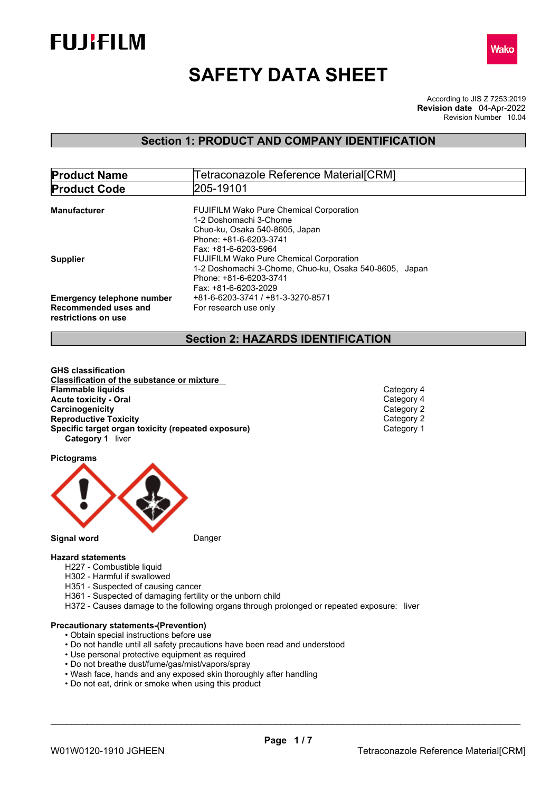



# **SAFETY DATA SHEET**

According to JIS Z 7253:2019 Revision Number 10.04 **Revision date** 04-Apr-2022

## **Section 1: PRODUCT AND COMPANY IDENTIFICATION**

| <b>Product Name</b>               | Tetraconazole Reference Material[CRM]                  |
|-----------------------------------|--------------------------------------------------------|
| <b>Product Code</b>               | 205-19101                                              |
|                                   |                                                        |
| Manufacturer                      | <b>FUJIFILM Wako Pure Chemical Corporation</b>         |
|                                   | 1-2 Doshomachi 3-Chome                                 |
|                                   | Chuo-ku, Osaka 540-8605, Japan                         |
|                                   | Phone: +81-6-6203-3741                                 |
|                                   | Fax: +81-6-6203-5964                                   |
| <b>Supplier</b>                   | <b>FUJIFILM Wako Pure Chemical Corporation</b>         |
|                                   | 1-2 Doshomachi 3-Chome, Chuo-ku, Osaka 540-8605, Japan |
|                                   | Phone: +81-6-6203-3741                                 |
|                                   | Fax: +81-6-6203-2029                                   |
| <b>Emergency telephone number</b> | +81-6-6203-3741 / +81-3-3270-8571                      |
| Recommended uses and              | For research use only                                  |
| restrictions on use               |                                                        |
|                                   |                                                        |

## **Section 2: HAZARDS IDENTIFICATION**

**GHS classification Classification of the substance or mixture Acute toxicity - Oral** Category 4 **Carcinogenicity** Category 2<br> **Category 2**<br> **Category 2**<br>
Category 2 **Reproductive Toxicity**<br> **Specific target organ toxicity (repeated exposure)**<br>
Category 1 **Specific target organ toxicity (repeated exposure) Category 1** liver **Flammable liquids** Category 4

**Pictograms**



## **Hazard statements**

- H227 Combustible liquid
- H302 Harmful if swallowed
- H351 Suspected of causing cancer
- H361 Suspected of damaging fertility or the unborn child
- H372 Causes damage to the following organs through prolonged or repeated exposure: liver

#### **Precautionary statements-(Prevention)**

- Obtain special instructions before use
- Do not handle until all safety precautions have been read and understood
- Use personal protective equipment as required
- Do not breathe dust/fume/gas/mist/vapors/spray
- Wash face, hands and any exposed skin thoroughly after handling
- Do not eat, drink or smoke when using this product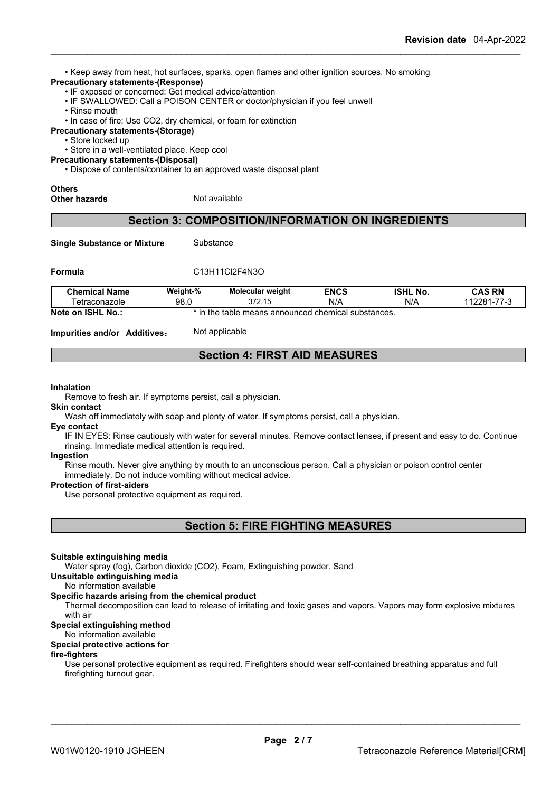• Keep away from heat, hot surfaces, sparks, open flames and other ignition sources. No smoking

### **Precautionary statements-(Response)**

- IF exposed or concerned: Get medical advice/attention
- IF SWALLOWED: Call a POISON CENTER or doctor/physician if you feel unwell
- Rinse mouth
- In case of fire: Use CO2, dry chemical, or foam for extinction
- **Precautionary statements-(Storage)**
	- Store locked up

• Store in a well-ventilated place. Keep cool

- **Precautionary statements-(Disposal)**
	- Dispose of contents/container to an approved waste disposal plant

## **Others**

**Other hazards** Not available

## **Section 3: COMPOSITION/INFORMATION ON INGREDIENTS**

**Single Substance or Mixture** Substance

## **Formula** C13H11Cl2F4N3O

| <b>Chemical Name</b>                            | Weight-% | Molecular weight        | <b>ENCS</b>                          | <b>ISHL No.</b> | <b>CAS RN</b>                |
|-------------------------------------------------|----------|-------------------------|--------------------------------------|-----------------|------------------------------|
| l etraconazole                                  | 98.0     | 272.15<br><u>JIL.IJ</u> | N/A                                  | N/A             | --<br>10001<br>ZO 1-<br>ں- 1 |
| <b>ISHL</b><br><b>Note</b><br>้ <b>No</b><br>on | the      | table                   | means announced chemical substances. |                 |                              |

**Impurities and/or Additives**: Not applicable

## **Section 4: FIRST AID MEASURES**

#### **Inhalation**

Remove to fresh air. If symptoms persist, call a physician.

## **Skin contact**

Wash off immediately with soap and plenty of water. If symptoms persist, call a physician.

#### **Eye contact**

IF IN EYES: Rinse cautiously with water for several minutes. Remove contact lenses, if present and easy to do. Continue rinsing. Immediate medical attention is required.

#### **Ingestion**

Rinse mouth. Never give anything by mouth to an unconscious person. Call a physician or poison control center immediately. Do not induce vomiting without medical advice.

#### **Protection of first-aiders**

Use personal protective equipment as required.

**Section 5: FIRE FIGHTING MEASURES**

## **Suitable extinguishing media**

Water spray (fog), Carbon dioxide (CO2), Foam, Extinguishing powder, Sand

#### **Unsuitable extinguishing media**

## No information available

## **Specific hazards arising from the chemical product**

Thermal decomposition can lead to release of irritating and toxic gases and vapors. Vapors may form explosive mixtures with air

## **Special extinguishing method**

## No information available

## **Special protective actions for**

## **fire-fighters**

Use personal protective equipment as required.Firefighters should wear self-contained breathing apparatus and full firefighting turnout gear.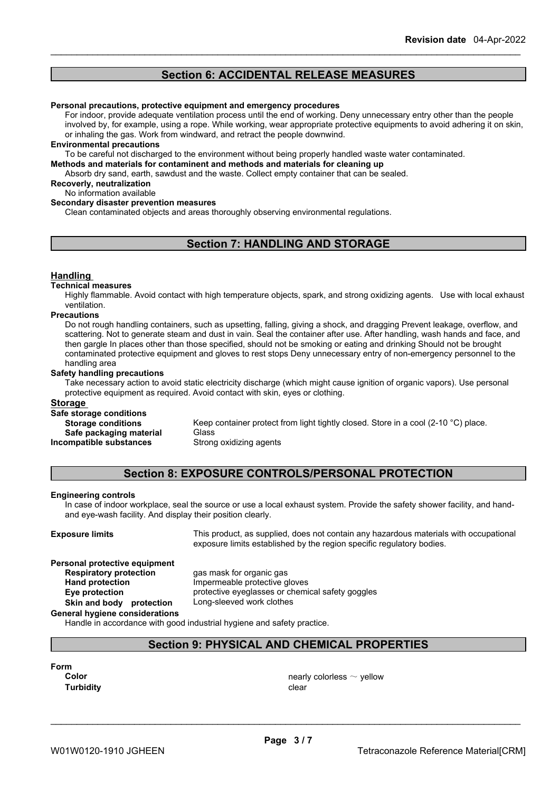## **Section 6: ACCIDENTAL RELEASE MEASURES**

#### **Personal precautions, protective equipment and emergency procedures**

For indoor, provide adequate ventilation process until the end of working. Deny unnecessary entry other than the people involved by, for example, using a rope. While working, wear appropriate protective equipments to avoid adhering it on skin, or inhaling the gas. Work from windward, and retract the people downwind.

#### **Environmental precautions**

To be careful not discharged to the environment without being properly handled waste water contaminated.

**Methods and materials for contaminent and methods and materials for cleaning up**

Absorb dry sand, earth, sawdust and the waste. Collect empty container that can be sealed.

## **Recoverly, neutralization**

## No information available

## **Secondary disaster prevention measures**

Clean contaminated objects and areas thoroughly observing environmental regulations.

## **Section 7: HANDLING AND STORAGE**

## **Handling**

#### **Technical measures**

Highly flammable. Avoid contact with high temperature objects, spark, and strong oxidizing agents. Use with local exhaust ventilation.

#### **Precautions**

Do not rough handling containers, such as upsetting, falling, giving a shock, and dragging Prevent leakage, overflow, and scattering. Not to generate steam and dust in vain. Seal the container after use. After handling, wash hands and face, and then gargle In places other than those specified, should not be smoking or eating and drinking Should not be brought contaminated protective equipment and gloves to rest stops Deny unnecessary entry of non-emergency personnel to the handling area

#### **Safety handling precautions**

Take necessary action to avoid static electricity discharge (which might cause ignition of organic vapors). Use personal protective equipment as required. Avoid contact with skin, eyes or clothing.

## **Storage**

## **Safe storage conditions**

**Safe packaging material** Glass **Incompatible substances** Strong oxidizing agents

**Storage conditions** Keep container protect from light tightly closed. Store in a cool (2-10 °C) place.

## **Section 8: EXPOSURE CONTROLS/PERSONAL PROTECTION**

## **Engineering controls**

In case of indoor workplace, seal the source or use a local exhaust system. Provide the safety shower facility, and handand eye-wash facility. And display their position clearly.

**Exposure limits** This product, as supplied, does not contain any hazardous materials with occupational exposure limits established by the region specific regulatory bodies.

## **Personal protective equipment**

**Respiratory protection** gas mask for organic gas **Hand protection**<br> **Eve protection**<br> **Eve protection**<br> **Eve protection**<br> **Eve protection** protective eyeglasses or chemical safety goggles<br>Long-sleeved work clothes

**Skin** and body protection **General hygiene considerations**

Handle in accordance with good industrial hygiene and safety practice.

## **Section 9: PHYSICAL AND CHEMICAL PROPERTIES**

**Form**

**Turbidity Clear** 

**Color Color Color Color Color Color Color Color Color Color Color Color Color Color Color Color Color Color Color Color Color Color Color Color Color Color Color Color**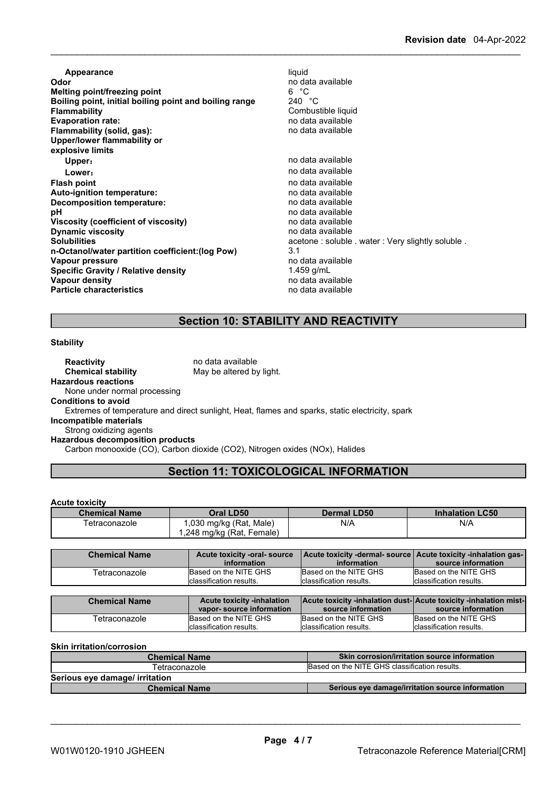**Appearance** liquid<br> **Odor** no da **Odor** no data available **Melting point/freezing point** 6 °C **Boiling point, initial boiling point and boiling range<br>Flammability Flamma** Combustible liquid<br>no data available **Evaporation rate:**<br> **Elammability (solid. gas):**<br> **Elammability (solid. gas):**<br> **Elammability (solid. gas): Flammability** (solid, gas): **Upper/lower flammability or explosive limits Upper:** no data available **Lower:** no data available **Flash point point** *point point point point point point point point point point point point point point point point point point point point* **Auto-ignition temperature:**<br> **Decomposition temperature:** Network and the modata available **Decomposition temperature:**<br>pH no data available<br>no data available **Viscosity (coefficient of viscosity)** no data available **Dynamic viscosity**<br>Solubilities acetone : soluble . water : Very slightly soluble . **n-Octanol/water partition coefficient:(log Pow)** 3.1 **Vapour pressure value of the contract of the contract of the contract of the contract of the contract of the contract of the contract of the contract of the contract of the contract of the contract of the contract of th Specific Gravity / Relative density** 1.459 g/mL<br> **Vapour density** 1.459 available **Vapour density Particle characteristics** no data available

## **Section 10: STABILITY AND REACTIVITY**

#### **Stability**

**Reactivity no data available Chemical stability** May be altered by light. **Hazardous reactions** None under normal processing **Conditions to avoid** Extremes of temperature and direct sunlight, Heat, flames and sparks, static electricity, spark **Incompatible materials** Strong oxidizing agents **Hazardous decomposition products**

Carbon monooxide (CO), Carbon dioxide (CO2), Nitrogen oxides (NOx), Halides

## **Section 11: TOXICOLOGICAL INFORMATION**

## **Acute toxicity**

| <b>Chemical Name</b> | Oral LD50                           | <b>Dermal LD50</b> | <b>Inhalation LC50</b> |
|----------------------|-------------------------------------|--------------------|------------------------|
| Tetraconazole        | ,030 mg/kg (Rat, Male)              | N/A                | N/A                    |
|                      | $\mu$ ,248 mg/kg (Rat, F<br>Female) |                    |                        |

| <b>Chemical Name</b> | Acute toxicity -oral- source<br>information | information             | Acute toxicity -dermal- source   Acute toxicity -inhalation gas-<br>source information |
|----------------------|---------------------------------------------|-------------------------|----------------------------------------------------------------------------------------|
| Tetraconazole        | Based on the NITE GHS                       | Based on the NITE GHS   | Based on the NITE GHS                                                                  |
|                      | Iclassification results.                    | classification results. | Iclassification results.                                                               |

| <b>Chemical Name</b> | <b>Acute toxicity -inhalation</b> | <b>Acute toxicity -inhalation dust-Acute toxicity -inhalation mist-</b> |                          |
|----------------------|-----------------------------------|-------------------------------------------------------------------------|--------------------------|
|                      | vapor-source information          | source information                                                      | source information       |
| Tetraconazole        | Based on the NITE GHS             | Based on the NITE GHS                                                   | Based on the NITE GHS    |
|                      | classification results.           | Iclassification results.                                                | Iclassification results. |

**Skin irritation/corrosion**

| <b>Chemical Name</b>           | <b>Skin corrosion/irritation source information</b> |  |
|--------------------------------|-----------------------------------------------------|--|
| Tetraconazole                  | Based on the NITE GHS classification results.       |  |
| Serious eye damage/ irritation |                                                     |  |
| <b>Chemical Name</b>           | Serious eye damage/irritation source information    |  |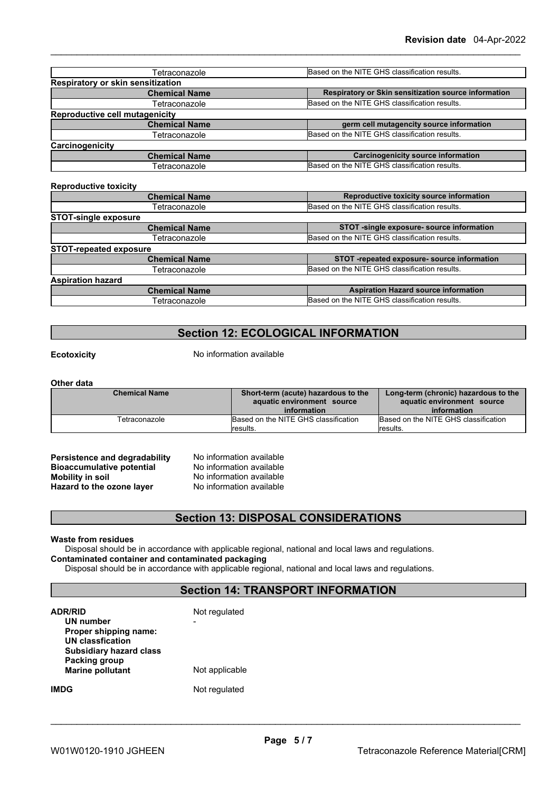| Tetraconazole                                        | Based on the NITE GHS classification results.        |
|------------------------------------------------------|------------------------------------------------------|
| Respiratory or skin sensitization                    |                                                      |
| <b>Chemical Name</b>                                 | Respiratory or Skin sensitization source information |
| Tetraconazole                                        | Based on the NITE GHS classification results.        |
| <b>Reproductive cell mutagenicity</b>                |                                                      |
| <b>Chemical Name</b>                                 | germ cell mutagencity source information             |
| Tetraconazole                                        | Based on the NITE GHS classification results.        |
| Carcinogenicity                                      |                                                      |
| <b>Chemical Name</b>                                 | <b>Carcinogenicity source information</b>            |
| Tetraconazole                                        | Based on the NITE GHS classification results.        |
| <b>Reproductive toxicity</b><br><b>Chemical Name</b> | Reproductive toxicity source information             |
| Tetraconazole                                        | Based on the NITE GHS classification results.        |
| <b>STOT-single exposure</b>                          |                                                      |
| <b>Chemical Name</b>                                 | STOT -single exposure- source information            |
| Tetraconazole                                        | Based on the NITE GHS classification results.        |
| <b>STOT-repeated exposure</b>                        |                                                      |
| <b>Chemical Name</b>                                 | STOT -repeated exposure- source information          |
| Tetraconazole                                        | Based on the NITE GHS classification results.        |
| <b>Aspiration hazard</b>                             |                                                      |
|                                                      |                                                      |

## **Section 12: ECOLOGICAL INFORMATION**

Tetraconazole **Based on the NITE GHS classification results.** 

**Ecotoxicity** No information available

#### **Other data**

| <b>Chemical Name</b> | Short-term (acute) hazardous to the<br>aquatic environment source<br>information | Long-term (chronic) hazardous to the<br>aquatic environment source<br>information |
|----------------------|----------------------------------------------------------------------------------|-----------------------------------------------------------------------------------|
| Tetraconazole        | <b>IBased on the NITE GHS classification</b>                                     | Based on the NITE GHS classification                                              |
|                      | results.                                                                         | results.                                                                          |

**Persistence and degradability** No information available<br>**Bioaccumulative potential** No information available **Bioaccumulative potential<br>Mobility in soil Hazard** to the ozone layer

No information available<br>No information available

## **Section 13: DISPOSAL CONSIDERATIONS**

## **Waste from residues**

Disposal should be in accordance with applicable regional, national and local laws and regulations. **Contaminated container and contaminated packaging**

Disposal should be in accordance with applicable regional, national and local laws and regulations.

## **Section 14: TRANSPORT INFORMATION**

| <b>ADR/RID</b><br>UN number<br>Proper shipping name:<br><b>UN classfication</b><br><b>Subsidiary hazard class</b> | Not regulated  |
|-------------------------------------------------------------------------------------------------------------------|----------------|
| Packing group<br><b>Marine pollutant</b>                                                                          | Not applicable |
| IMDG                                                                                                              | Not regulated  |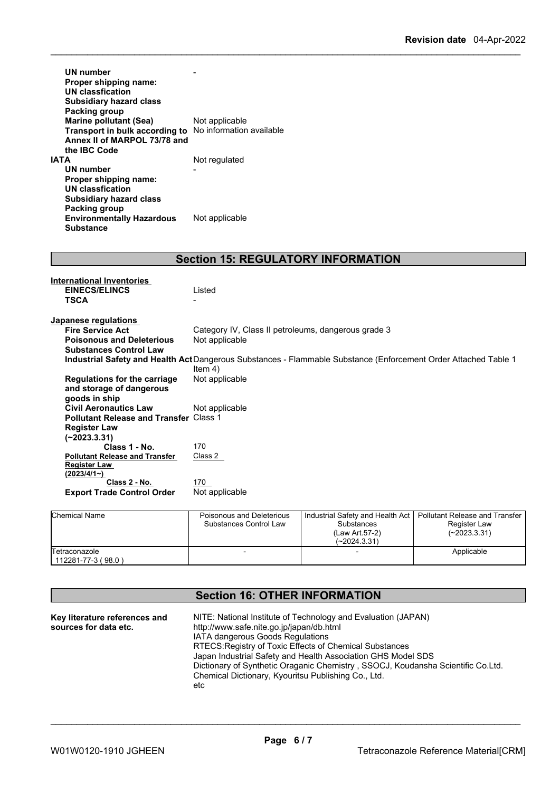| UN number<br>Proper shipping name:<br>UN classfication<br><b>Subsidiary hazard class</b><br>Packing group |                          |
|-----------------------------------------------------------------------------------------------------------|--------------------------|
| <b>Marine pollutant (Sea)</b>                                                                             | Not applicable           |
| Transport in bulk according to                                                                            | No information available |
| Annex II of MARPOL 73/78 and                                                                              |                          |
| the IBC Code                                                                                              |                          |
| ΙΑΤΑ                                                                                                      | Not regulated            |
| UN number                                                                                                 |                          |
| Proper shipping name:                                                                                     |                          |
| UN classfication                                                                                          |                          |
| <b>Subsidiary hazard class</b>                                                                            |                          |
| Packing group                                                                                             |                          |
| <b>Environmentally Hazardous</b>                                                                          | Not applicable           |
| <b>Substance</b>                                                                                          |                          |

## **Section 15: REGULATORY INFORMATION**

| International Inventories                     |                                                                                                                        |
|-----------------------------------------------|------------------------------------------------------------------------------------------------------------------------|
| <b>EINECS/ELINCS</b>                          | Listed                                                                                                                 |
| <b>TSCA</b>                                   | -                                                                                                                      |
|                                               |                                                                                                                        |
| Japanese regulations                          |                                                                                                                        |
| <b>Fire Service Act</b>                       | Category IV, Class II petroleums, dangerous grade 3                                                                    |
| <b>Poisonous and Deleterious</b>              | Not applicable                                                                                                         |
| <b>Substances Control Law</b>                 |                                                                                                                        |
|                                               | <b>Industrial Safety and Health Act</b> Dangerous Substances - Flammable Substance (Enforcement Order Attached Table 1 |
|                                               | Item $4)$                                                                                                              |
| <b>Regulations for the carriage</b>           | Not applicable                                                                                                         |
| and storage of dangerous                      |                                                                                                                        |
| goods in ship                                 |                                                                                                                        |
| <b>Civil Aeronautics Law</b>                  | Not applicable                                                                                                         |
| <b>Pollutant Release and Transfer Class 1</b> |                                                                                                                        |
| <b>Register Law</b>                           |                                                                                                                        |
| $(-2023.3.31)$                                |                                                                                                                        |
| Class 1 - No.                                 | 170                                                                                                                    |
| <b>Pollutant Release and Transfer</b>         | Class 2                                                                                                                |
| <b>Register Law</b>                           |                                                                                                                        |
| (2023/4/1)                                    |                                                                                                                        |
| Class 2 - No.                                 | 170                                                                                                                    |
| <b>Export Trade Control Order</b>             | Not applicable                                                                                                         |
|                                               |                                                                                                                        |

| <b>Chemical Name</b>                | Poisonous and Deleterious<br>Substances Control Law | Industrial Safety and Health Act   Pollutant Release and Transfer<br>Substances<br>(Law Art.57-2)<br>(~2024.3.31) | <b>Register Law</b><br>$(-2023.3.31)$ |  |
|-------------------------------------|-----------------------------------------------------|-------------------------------------------------------------------------------------------------------------------|---------------------------------------|--|
| Tetraconazole<br>112281-77-3 (98.0) |                                                     |                                                                                                                   | Applicable                            |  |

## **Section 16: OTHER INFORMATION**

| Key literature references and | NITE: National Institute of Technology and Evaluation (JAPAN)                   |
|-------------------------------|---------------------------------------------------------------------------------|
| sources for data etc.         | http://www.safe.nite.go.jp/japan/db.html                                        |
|                               | <b>IATA dangerous Goods Regulations</b>                                         |
|                               | RTECS: Registry of Toxic Effects of Chemical Substances                         |
|                               | Japan Industrial Safety and Health Association GHS Model SDS                    |
|                               | Dictionary of Synthetic Oraganic Chemistry, SSOCJ, Koudansha Scientific Co.Ltd. |
|                               | Chemical Dictionary, Kyouritsu Publishing Co., Ltd.                             |
|                               | etc                                                                             |